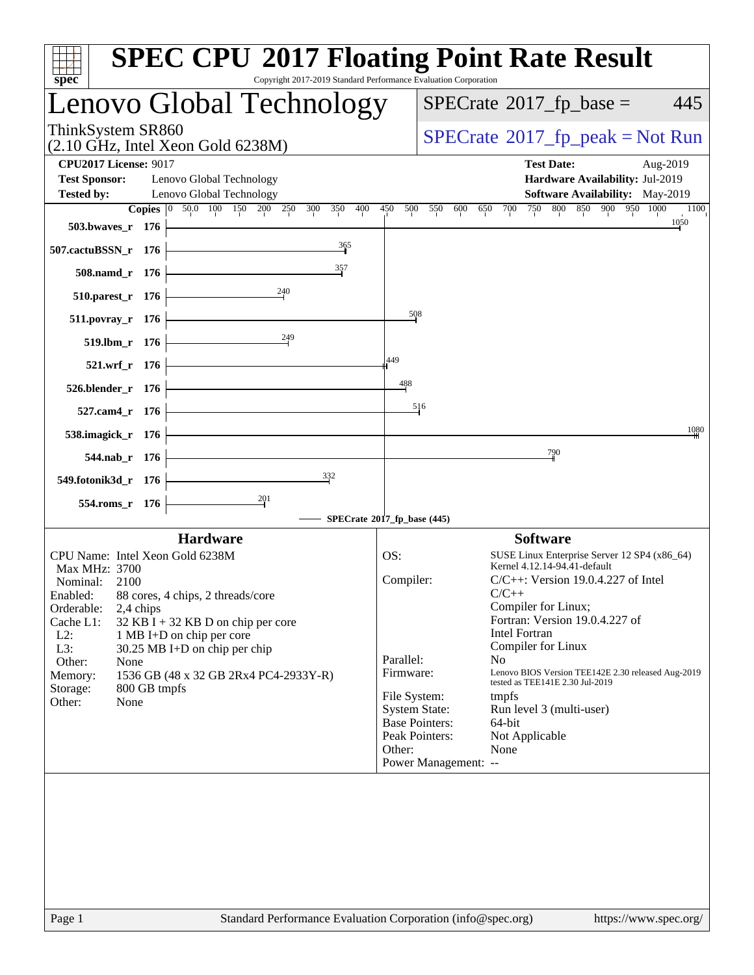| spec <sup>®</sup>                                                                                 | <b>SPEC CPU®2017 Floating Point Rate Result</b><br>Copyright 2017-2019 Standard Performance Evaluation Corporation |
|---------------------------------------------------------------------------------------------------|--------------------------------------------------------------------------------------------------------------------|
| Lenovo Global Technology                                                                          | $SPECrate^{\circledast}2017$ _fp_base =<br>445                                                                     |
| ThinkSystem SR860<br>$(2.10 \text{ GHz}, \text{Intel Xeon Gold } 6238\text{M})$                   | $SPECrate^{\circ}2017$ _fp_peak = Not Run                                                                          |
| <b>CPU2017 License: 9017</b>                                                                      | <b>Test Date:</b><br>Aug-2019                                                                                      |
| <b>Test Sponsor:</b><br>Lenovo Global Technology<br><b>Tested by:</b><br>Lenovo Global Technology | Hardware Availability: Jul-2019<br>Software Availability: May-2019                                                 |
| Copies 0 50.0 100 150 200 250<br>350<br>400<br>300                                                | 750 800 850 900 950 1000<br>450<br>500<br>550<br>700<br>600<br>650<br>1100                                         |
| 503.bwaves_r 176                                                                                  | 1050                                                                                                               |
| $\frac{365}{9}$<br>507.cactuBSSN_r 176                                                            |                                                                                                                    |
| $\frac{357}{2}$<br>508.namd_r 176<br>240                                                          |                                                                                                                    |
| 510.parest_r 176                                                                                  | 508                                                                                                                |
| 511.povray_r 176<br>$\frac{249}{5}$                                                               |                                                                                                                    |
| 519.lbm_r 176                                                                                     | 449                                                                                                                |
| 521.wrf_r 176                                                                                     | 488                                                                                                                |
| $526.$ blender_r 176                                                                              | 516                                                                                                                |
| 527.cam4_r 176<br>538.imagick_r 176                                                               | 1080                                                                                                               |
| 544.nab_r 176                                                                                     | 790                                                                                                                |
| $\frac{332}{2}$<br>549.fotonik3d_r 176                                                            |                                                                                                                    |
| 554.roms_r 176                                                                                    |                                                                                                                    |
|                                                                                                   | SPECrate®2017_fp_base (445)                                                                                        |
| <b>Hardware</b>                                                                                   | <b>Software</b>                                                                                                    |
| CPU Name: Intel Xeon Gold 6238M<br>Max MHz: 3700                                                  | OS:<br>SUSE Linux Enterprise Server 12 SP4 (x86_64)<br>Kernel 4.12.14-94.41-default                                |
| Nominal:<br>2100                                                                                  | Compiler:<br>$C/C++$ : Version 19.0.4.227 of Intel                                                                 |
| Enabled: 88 cores, 4 chips, 2 threads/core<br>Orderable:<br>2,4 chips                             | $C/C++$<br>Compiler for Linux;                                                                                     |
| Cache L1:<br>32 KB I + 32 KB D on chip per core                                                   | Fortran: Version 19.0.4.227 of<br><b>Intel Fortran</b>                                                             |
| $L2$ :<br>1 MB I+D on chip per core<br>L3:<br>30.25 MB I+D on chip per chip                       | Compiler for Linux                                                                                                 |
| Other:<br>None                                                                                    | Parallel:<br>N <sub>o</sub>                                                                                        |
| 1536 GB (48 x 32 GB 2Rx4 PC4-2933Y-R)<br>Memory:<br>800 GB tmpfs<br>Storage:                      | Lenovo BIOS Version TEE142E 2.30 released Aug-2019<br>Firmware:<br>tested as TEE141E 2.30 Jul-2019                 |
| Other:<br>None                                                                                    | File System:<br>tmpfs<br><b>System State:</b><br>Run level 3 (multi-user)                                          |
|                                                                                                   | <b>Base Pointers:</b><br>64-bit                                                                                    |
|                                                                                                   | Peak Pointers:<br>Not Applicable                                                                                   |
|                                                                                                   | Other:<br>None<br>Power Management: --                                                                             |
|                                                                                                   |                                                                                                                    |
|                                                                                                   |                                                                                                                    |
|                                                                                                   |                                                                                                                    |
|                                                                                                   |                                                                                                                    |
|                                                                                                   |                                                                                                                    |
|                                                                                                   |                                                                                                                    |
| Page 1                                                                                            | Standard Performance Evaluation Corporation (info@spec.org)<br>https://www.spec.org/                               |
|                                                                                                   |                                                                                                                    |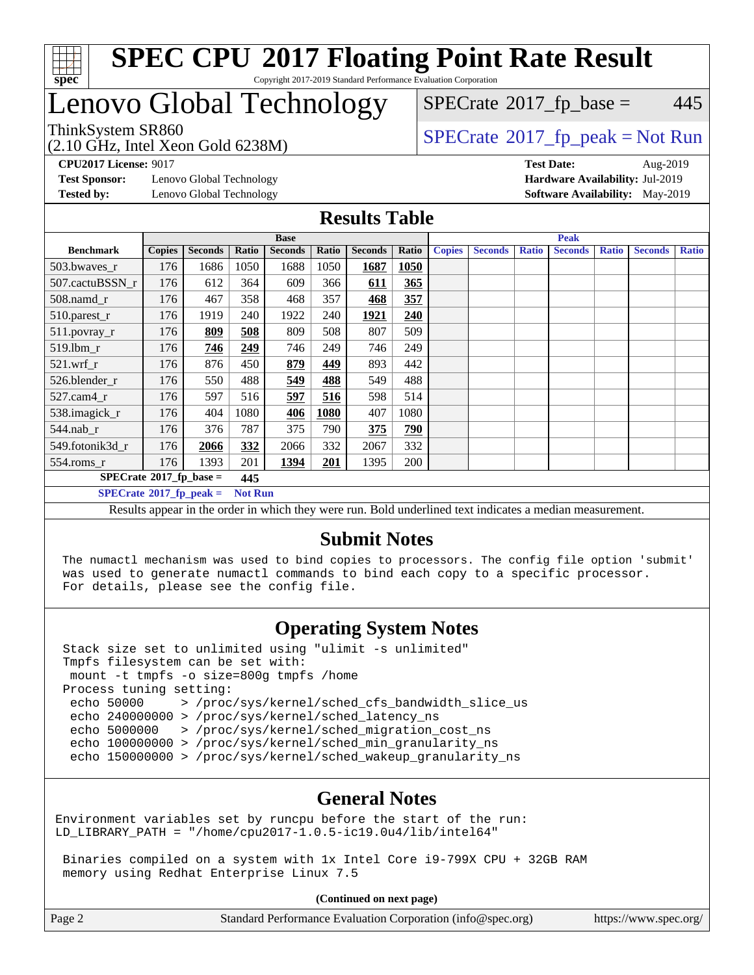

#### **[SPEC CPU](http://www.spec.org/auto/cpu2017/Docs/result-fields.html#SPECCPU2017FloatingPointRateResult)[2017 Floating Point Rate Result](http://www.spec.org/auto/cpu2017/Docs/result-fields.html#SPECCPU2017FloatingPointRateResult)** Copyright 2017-2019 Standard Performance Evaluation Corporation

## Lenovo Global Technology

(2.10 GHz, Intel Xeon Gold 6238M)

ThinkSystem SR860<br>  $(2.10 \text{ GHz. Intel Yoon Gold } 6238M)$  [SPECrate](http://www.spec.org/auto/cpu2017/Docs/result-fields.html#SPECrate2017fppeak)®[2017\\_fp\\_peak = N](http://www.spec.org/auto/cpu2017/Docs/result-fields.html#SPECrate2017fppeak)ot Run  $SPECTate$ <sup>®</sup>[2017\\_fp\\_base =](http://www.spec.org/auto/cpu2017/Docs/result-fields.html#SPECrate2017fpbase) 445

**[Test Sponsor:](http://www.spec.org/auto/cpu2017/Docs/result-fields.html#TestSponsor)** Lenovo Global Technology **[Hardware Availability:](http://www.spec.org/auto/cpu2017/Docs/result-fields.html#HardwareAvailability)** Jul-2019 **[Tested by:](http://www.spec.org/auto/cpu2017/Docs/result-fields.html#Testedby)** Lenovo Global Technology **[Software Availability:](http://www.spec.org/auto/cpu2017/Docs/result-fields.html#SoftwareAvailability)** May-2019

**[CPU2017 License:](http://www.spec.org/auto/cpu2017/Docs/result-fields.html#CPU2017License)** 9017 **[Test Date:](http://www.spec.org/auto/cpu2017/Docs/result-fields.html#TestDate)** Aug-2019

#### **[Results Table](http://www.spec.org/auto/cpu2017/Docs/result-fields.html#ResultsTable)**

|                                                                                                                                                                               | <b>Base</b>   |                |       |                | <b>Peak</b> |                |       |               |                |              |                |              |                |              |
|-------------------------------------------------------------------------------------------------------------------------------------------------------------------------------|---------------|----------------|-------|----------------|-------------|----------------|-------|---------------|----------------|--------------|----------------|--------------|----------------|--------------|
| <b>Benchmark</b>                                                                                                                                                              | <b>Copies</b> | <b>Seconds</b> | Ratio | <b>Seconds</b> | Ratio       | <b>Seconds</b> | Ratio | <b>Copies</b> | <b>Seconds</b> | <b>Ratio</b> | <b>Seconds</b> | <b>Ratio</b> | <b>Seconds</b> | <b>Ratio</b> |
| 503.bwayes_r                                                                                                                                                                  | 176           | 1686           | 1050  | 1688           | 1050        | 1687           | 1050  |               |                |              |                |              |                |              |
| 507.cactuBSSN r                                                                                                                                                               | 176           | 612            | 364   | 609            | 366         | <u>611</u>     | 365   |               |                |              |                |              |                |              |
| $508$ .namd_r                                                                                                                                                                 | 176           | 467            | 358   | 468            | 357         | 468            | 357   |               |                |              |                |              |                |              |
| 510.parest_r                                                                                                                                                                  | 176           | 1919           | 240   | 1922           | 240         | 1921           | 240   |               |                |              |                |              |                |              |
| 511.povray_r                                                                                                                                                                  | 176           | 809            | 508   | 809            | 508         | 807            | 509   |               |                |              |                |              |                |              |
| 519.lbm r                                                                                                                                                                     | 176           | 746            | 249   | 746            | 249         | 746            | 249   |               |                |              |                |              |                |              |
| $521$ .wrf r                                                                                                                                                                  | 176           | 876            | 450   | 879            | 449         | 893            | 442   |               |                |              |                |              |                |              |
| 526.blender_r                                                                                                                                                                 | 176           | 550            | 488   | 549            | <u>488</u>  | 549            | 488   |               |                |              |                |              |                |              |
| $527.cam4_r$                                                                                                                                                                  | 176           | 597            | 516   | 597            | 516         | 598            | 514   |               |                |              |                |              |                |              |
| 538.imagick_r                                                                                                                                                                 | 176           | 404            | 1080  | 406            | 1080        | 407            | 1080  |               |                |              |                |              |                |              |
| $544$ .nab_r                                                                                                                                                                  | 176           | 376            | 787   | 375            | 790         | 375            | 790   |               |                |              |                |              |                |              |
| 549.fotonik3d r                                                                                                                                                               | 176           | 2066           | 332   | 2066           | 332         | 2067           | 332   |               |                |              |                |              |                |              |
| $554$ .roms_r                                                                                                                                                                 | 176           | 1393           | 201   | 1394           | 201         | 1395           | 200   |               |                |              |                |              |                |              |
| $SPECrate*2017_fp\_base =$<br>445                                                                                                                                             |               |                |       |                |             |                |       |               |                |              |                |              |                |              |
| $SPECrate^{\circ}2017$ fp peak =<br><b>Not Run</b>                                                                                                                            |               |                |       |                |             |                |       |               |                |              |                |              |                |              |
| $\mathbf{D}$ , and a second to the contract of the theorem can be $\mathbf{D}$ . In the distribution of the contract distribution of the contract of the second second second |               |                |       |                |             |                |       |               |                |              |                |              |                |              |

Results appear in the [order in which they were run](http://www.spec.org/auto/cpu2017/Docs/result-fields.html#RunOrder). Bold underlined text [indicates a median measurement.](http://www.spec.org/auto/cpu2017/Docs/result-fields.html#Median)

### **[Submit Notes](http://www.spec.org/auto/cpu2017/Docs/result-fields.html#SubmitNotes)**

 The numactl mechanism was used to bind copies to processors. The config file option 'submit' was used to generate numactl commands to bind each copy to a specific processor. For details, please see the config file.

### **[Operating System Notes](http://www.spec.org/auto/cpu2017/Docs/result-fields.html#OperatingSystemNotes)**

 Stack size set to unlimited using "ulimit -s unlimited" Tmpfs filesystem can be set with: mount -t tmpfs -o size=800g tmpfs /home Process tuning setting: echo 50000 > /proc/sys/kernel/sched\_cfs\_bandwidth\_slice\_us echo 240000000 > /proc/sys/kernel/sched\_latency\_ns echo 5000000 > /proc/sys/kernel/sched\_migration\_cost\_ns echo 100000000 > /proc/sys/kernel/sched\_min\_granularity\_ns echo 150000000 > /proc/sys/kernel/sched\_wakeup\_granularity\_ns

### **[General Notes](http://www.spec.org/auto/cpu2017/Docs/result-fields.html#GeneralNotes)**

Environment variables set by runcpu before the start of the run: LD\_LIBRARY\_PATH = "/home/cpu2017-1.0.5-ic19.0u4/lib/intel64"

 Binaries compiled on a system with 1x Intel Core i9-799X CPU + 32GB RAM memory using Redhat Enterprise Linux 7.5

**(Continued on next page)**

| Page 2 | Standard Performance Evaluation Corporation (info@spec.org) | https://www.spec.org/ |
|--------|-------------------------------------------------------------|-----------------------|
|--------|-------------------------------------------------------------|-----------------------|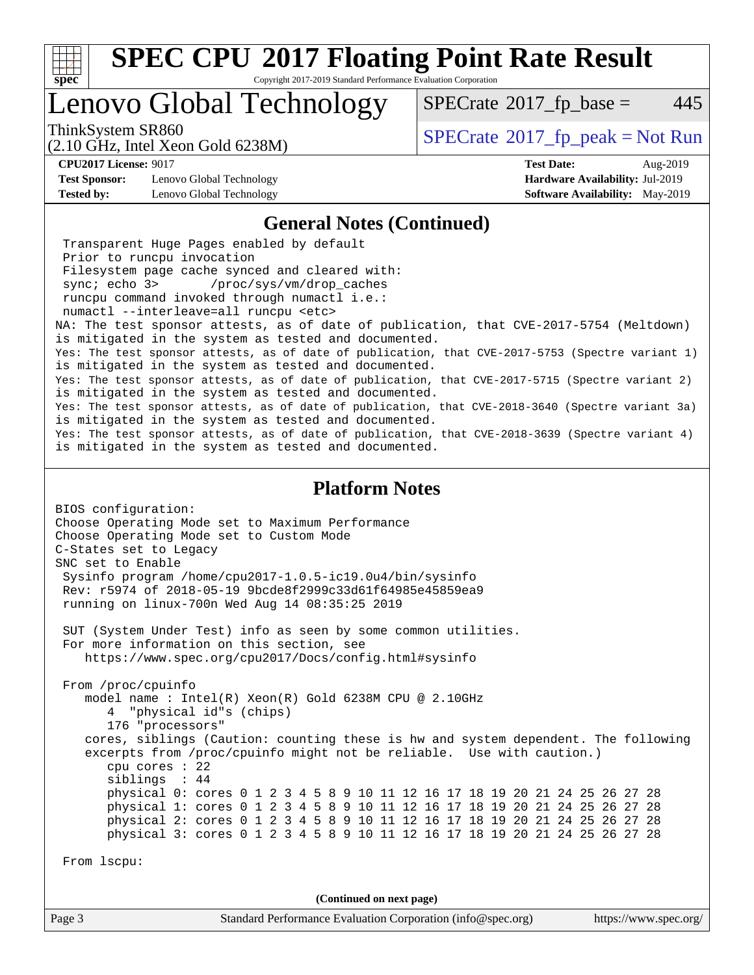

Copyright 2017-2019 Standard Performance Evaluation Corporation

### Lenovo Global Technology

 $SPECTate$ <sup>®</sup>[2017\\_fp\\_base =](http://www.spec.org/auto/cpu2017/Docs/result-fields.html#SPECrate2017fpbase) 445

(2.10 GHz, Intel Xeon Gold 6238M)

ThinkSystem SR860<br>  $SPECTR_{10}$  [SPECrate](http://www.spec.org/auto/cpu2017/Docs/result-fields.html#SPECrate2017fppeak)®[2017\\_fp\\_peak = N](http://www.spec.org/auto/cpu2017/Docs/result-fields.html#SPECrate2017fppeak)ot Run

**[CPU2017 License:](http://www.spec.org/auto/cpu2017/Docs/result-fields.html#CPU2017License)** 9017 **[Test Date:](http://www.spec.org/auto/cpu2017/Docs/result-fields.html#TestDate)** Aug-2019

**[Test Sponsor:](http://www.spec.org/auto/cpu2017/Docs/result-fields.html#TestSponsor)** Lenovo Global Technology **[Hardware Availability:](http://www.spec.org/auto/cpu2017/Docs/result-fields.html#HardwareAvailability)** Jul-2019 **[Tested by:](http://www.spec.org/auto/cpu2017/Docs/result-fields.html#Testedby)** Lenovo Global Technology **[Software Availability:](http://www.spec.org/auto/cpu2017/Docs/result-fields.html#SoftwareAvailability)** May-2019

#### **[General Notes \(Continued\)](http://www.spec.org/auto/cpu2017/Docs/result-fields.html#GeneralNotes)**

 Transparent Huge Pages enabled by default Prior to runcpu invocation Filesystem page cache synced and cleared with: sync; echo 3> /proc/sys/vm/drop\_caches runcpu command invoked through numactl i.e.: numactl --interleave=all runcpu <etc> NA: The test sponsor attests, as of date of publication, that CVE-2017-5754 (Meltdown) is mitigated in the system as tested and documented. Yes: The test sponsor attests, as of date of publication, that CVE-2017-5753 (Spectre variant 1) is mitigated in the system as tested and documented. Yes: The test sponsor attests, as of date of publication, that CVE-2017-5715 (Spectre variant 2) is mitigated in the system as tested and documented. Yes: The test sponsor attests, as of date of publication, that CVE-2018-3640 (Spectre variant 3a) is mitigated in the system as tested and documented. Yes: The test sponsor attests, as of date of publication, that CVE-2018-3639 (Spectre variant 4) is mitigated in the system as tested and documented.

#### **[Platform Notes](http://www.spec.org/auto/cpu2017/Docs/result-fields.html#PlatformNotes)**

BIOS configuration: Choose Operating Mode set to Maximum Performance Choose Operating Mode set to Custom Mode C-States set to Legacy SNC set to Enable Sysinfo program /home/cpu2017-1.0.5-ic19.0u4/bin/sysinfo Rev: r5974 of 2018-05-19 9bcde8f2999c33d61f64985e45859ea9 running on linux-700n Wed Aug 14 08:35:25 2019 SUT (System Under Test) info as seen by some common utilities. For more information on this section, see <https://www.spec.org/cpu2017/Docs/config.html#sysinfo> From /proc/cpuinfo model name : Intel(R) Xeon(R) Gold 6238M CPU @ 2.10GHz 4 "physical id"s (chips) 176 "processors" cores, siblings (Caution: counting these is hw and system dependent. The following excerpts from /proc/cpuinfo might not be reliable. Use with caution.) cpu cores : 22 siblings : 44 physical 0: cores 0 1 2 3 4 5 8 9 10 11 12 16 17 18 19 20 21 24 25 26 27 28 physical 1: cores 0 1 2 3 4 5 8 9 10 11 12 16 17 18 19 20 21 24 25 26 27 28 physical 2: cores 0 1 2 3 4 5 8 9 10 11 12 16 17 18 19 20 21 24 25 26 27 28 physical 3: cores 0 1 2 3 4 5 8 9 10 11 12 16 17 18 19 20 21 24 25 26 27 28 From lscpu: **(Continued on next page)**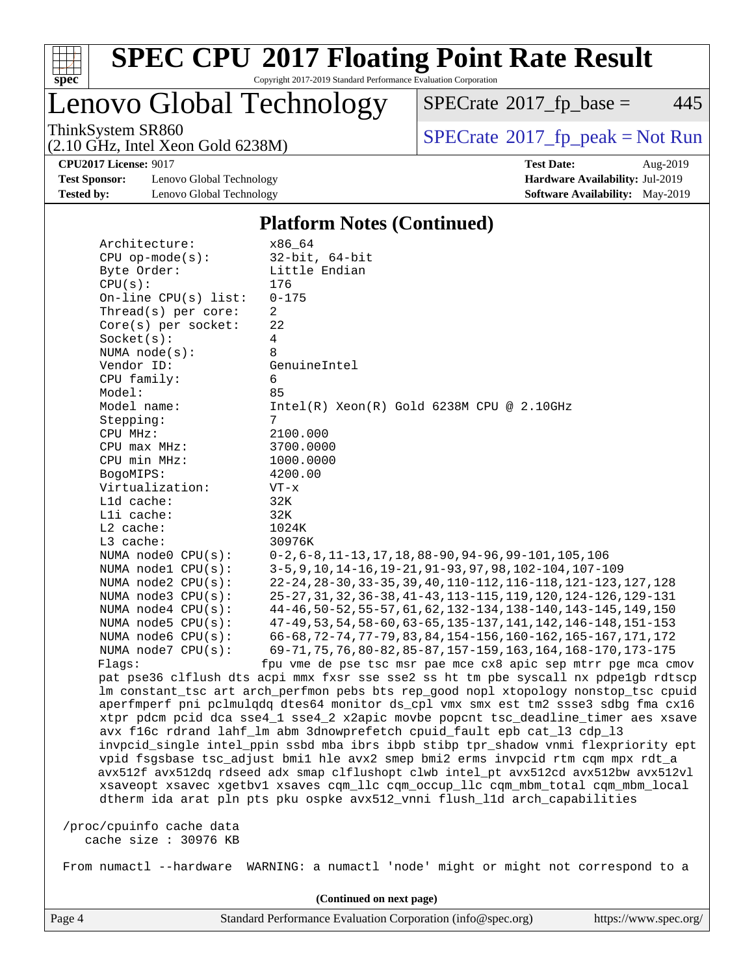

Copyright 2017-2019 Standard Performance Evaluation Corporation

Lenovo Global Technology

 $SPECTate@2017_fp\_base = 445$ 

(2.10 GHz, Intel Xeon Gold 6238M)

ThinkSystem SR860<br>  $(2.10 \text{ GHz} \cdot \text{Intel} \times \text{eon} \text{ Gold } 6238 \text{M})$  [SPECrate](http://www.spec.org/auto/cpu2017/Docs/result-fields.html#SPECrate2017fppeak)®[2017\\_fp\\_peak = N](http://www.spec.org/auto/cpu2017/Docs/result-fields.html#SPECrate2017fppeak)ot Run

**[Test Sponsor:](http://www.spec.org/auto/cpu2017/Docs/result-fields.html#TestSponsor)** Lenovo Global Technology **[Hardware Availability:](http://www.spec.org/auto/cpu2017/Docs/result-fields.html#HardwareAvailability)** Jul-2019 **[Tested by:](http://www.spec.org/auto/cpu2017/Docs/result-fields.html#Testedby)** Lenovo Global Technology **[Software Availability:](http://www.spec.org/auto/cpu2017/Docs/result-fields.html#SoftwareAvailability)** May-2019

**[CPU2017 License:](http://www.spec.org/auto/cpu2017/Docs/result-fields.html#CPU2017License)** 9017 **[Test Date:](http://www.spec.org/auto/cpu2017/Docs/result-fields.html#TestDate)** Aug-2019

#### **[Platform Notes \(Continued\)](http://www.spec.org/auto/cpu2017/Docs/result-fields.html#PlatformNotes)**

| Architecture:            | x86 64                                                                               |
|--------------------------|--------------------------------------------------------------------------------------|
| $CPU$ op-mode( $s$ ):    | $32$ -bit, $64$ -bit                                                                 |
| Byte Order:              | Little Endian                                                                        |
| CPU(s):                  | 176                                                                                  |
| On-line $CPU(s)$ list:   | $0 - 175$                                                                            |
| Thread( $s$ ) per core:  | $\overline{2}$                                                                       |
| $Core(s)$ per socket:    | 22                                                                                   |
| Socket(s):               | 4                                                                                    |
| NUMA $node(s):$          | 8                                                                                    |
| Vendor ID:               | GenuineIntel                                                                         |
| CPU family:              | 6                                                                                    |
| Model:                   | 85                                                                                   |
| Model name:              | $Intel(R) Xeon(R) Gold 6238M CPU @ 2.10GHz$                                          |
| Stepping:                | 7                                                                                    |
| CPU MHz:                 | 2100.000                                                                             |
| CPU max MHz:             | 3700.0000                                                                            |
|                          |                                                                                      |
| CPU min MHz:             | 1000.0000                                                                            |
| BogoMIPS:                | 4200.00                                                                              |
| Virtualization:          | $VT - x$                                                                             |
| L1d cache:               | 32K                                                                                  |
| Lli cache:               | 32K                                                                                  |
| L2 cache:                | 1024K                                                                                |
| L3 cache:                | 30976K                                                                               |
| NUMA node0 CPU(s):       | $0-2, 6-8, 11-13, 17, 18, 88-90, 94-96, 99-101, 105, 106$                            |
| NUMA nodel $CPU(s)$ :    | 3-5, 9, 10, 14-16, 19-21, 91-93, 97, 98, 102-104, 107-109                            |
| NUMA $node2$ $CPU(s)$ :  | 22-24, 28-30, 33-35, 39, 40, 110-112, 116-118, 121-123, 127, 128                     |
| NUMA $node3$ $CPU(s):$   | 25-27, 31, 32, 36-38, 41-43, 113-115, 119, 120, 124-126, 129-131                     |
| NUMA $node4$ $CPU(s):$   | 44-46, 50-52, 55-57, 61, 62, 132-134, 138-140, 143-145, 149, 150                     |
| NUMA node5 $CPU(s):$     | 47-49, 53, 54, 58-60, 63-65, 135-137, 141, 142, 146-148, 151-153                     |
| NUMA node6 CPU(s):       | 66-68, 72-74, 77-79, 83, 84, 154-156, 160-162, 165-167, 171, 172                     |
| NUMA $node7$ CPU $(s)$ : | 69-71, 75, 76, 80-82, 85-87, 157-159, 163, 164, 168-170, 173-175                     |
| Flags:                   | fpu vme de pse tsc msr pae mce cx8 apic sep mtrr pge mca cmov                        |
|                          | pat pse36 clflush dts acpi mmx fxsr sse sse2 ss ht tm pbe syscall nx pdpelgb rdtscp  |
|                          | lm constant_tsc art arch_perfmon pebs bts rep_good nopl xtopology nonstop_tsc cpuid  |
|                          | aperfmperf pni pclmulgdg dtes64 monitor ds_cpl vmx smx est tm2 ssse3 sdbg fma cx16   |
|                          | xtpr pdcm pcid dca sse4_1 sse4_2 x2apic movbe popcnt tsc_deadline_timer aes xsave    |
|                          | avx f16c rdrand lahf_lm abm 3dnowprefetch cpuid_fault epb cat_13 cdp_13              |
|                          | invpcid_single intel_ppin ssbd mba ibrs ibpb stibp tpr_shadow vnmi flexpriority ept  |
|                          | vpid fsgsbase tsc_adjust bmil hle avx2 smep bmi2 erms invpcid rtm cqm mpx rdt_a      |
|                          | avx512f avx512dq rdseed adx smap clflushopt clwb intel_pt avx512cd avx512bw avx512vl |
|                          | xsaveopt xsavec xgetbvl xsaves cqm_llc cqm_occup_llc cqm_mbm_total cqm_mbm_local     |
|                          | dtherm ida arat pln pts pku ospke avx512_vnni flush_lld arch_capabilities            |
|                          |                                                                                      |
| /proc/cpuinfo cache data |                                                                                      |
| cache size $: 30976$ KB  |                                                                                      |
|                          |                                                                                      |
| From numactl --hardware  | WARNING: a numactl 'node' might or might not correspond to a                         |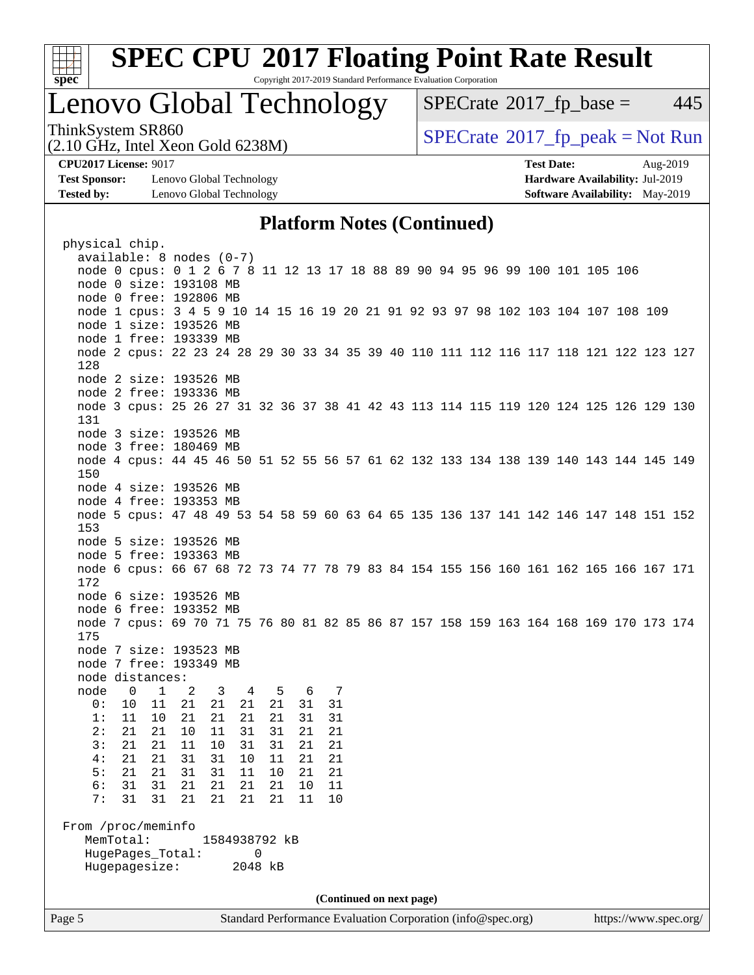

Copyright 2017-2019 Standard Performance Evaluation Corporation

### Lenovo Global Technology

 $SPECTate@2017<sub>fr</sub> base = 445$ 

(2.10 GHz, Intel Xeon Gold 6238M)

ThinkSystem SR860<br>  $SPECTR_{10}$  [SPECrate](http://www.spec.org/auto/cpu2017/Docs/result-fields.html#SPECrate2017fppeak)®[2017\\_fp\\_peak = N](http://www.spec.org/auto/cpu2017/Docs/result-fields.html#SPECrate2017fppeak)ot Run

**[Test Sponsor:](http://www.spec.org/auto/cpu2017/Docs/result-fields.html#TestSponsor)** Lenovo Global Technology **[Hardware Availability:](http://www.spec.org/auto/cpu2017/Docs/result-fields.html#HardwareAvailability)** Jul-2019 **[Tested by:](http://www.spec.org/auto/cpu2017/Docs/result-fields.html#Testedby)** Lenovo Global Technology **[Software Availability:](http://www.spec.org/auto/cpu2017/Docs/result-fields.html#SoftwareAvailability)** May-2019

**[CPU2017 License:](http://www.spec.org/auto/cpu2017/Docs/result-fields.html#CPU2017License)** 9017 **[Test Date:](http://www.spec.org/auto/cpu2017/Docs/result-fields.html#TestDate)** Aug-2019

### **[Platform Notes \(Continued\)](http://www.spec.org/auto/cpu2017/Docs/result-fields.html#PlatformNotes)**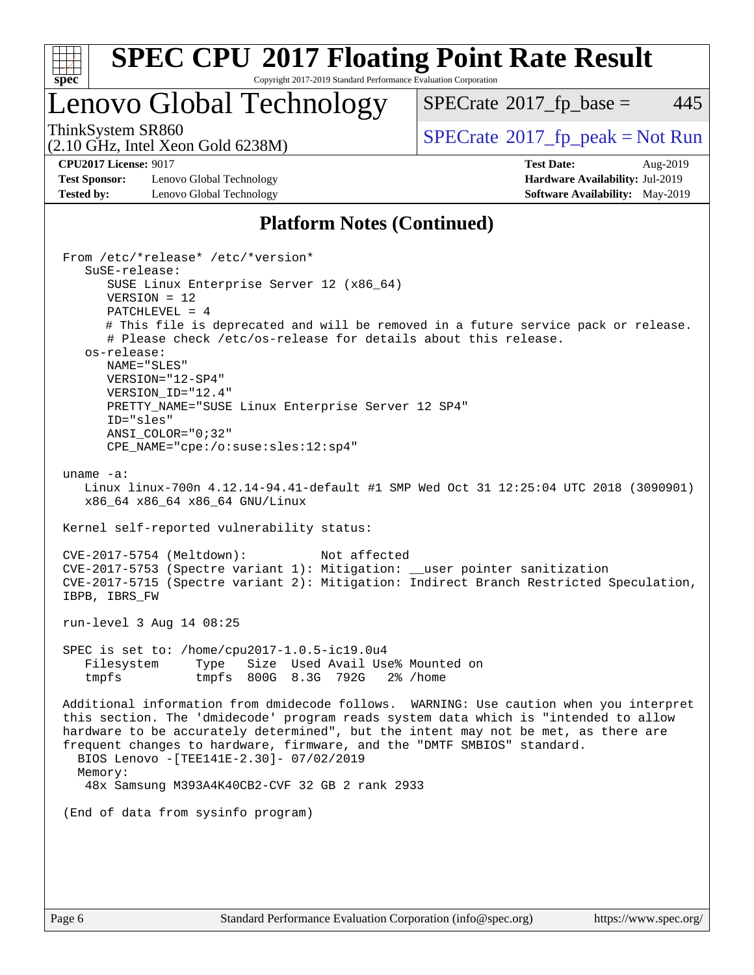

Copyright 2017-2019 Standard Performance Evaluation Corporation

### Lenovo Global Technology

 $SPECTate$ <sup>®</sup>[2017\\_fp\\_base =](http://www.spec.org/auto/cpu2017/Docs/result-fields.html#SPECrate2017fpbase) 445

(2.10 GHz, Intel Xeon Gold 6238M)

ThinkSystem SR860<br>  $SPECTR_{10}$  [SPECrate](http://www.spec.org/auto/cpu2017/Docs/result-fields.html#SPECrate2017fppeak)®[2017\\_fp\\_peak = N](http://www.spec.org/auto/cpu2017/Docs/result-fields.html#SPECrate2017fppeak)ot Run

**[Test Sponsor:](http://www.spec.org/auto/cpu2017/Docs/result-fields.html#TestSponsor)** Lenovo Global Technology **[Hardware Availability:](http://www.spec.org/auto/cpu2017/Docs/result-fields.html#HardwareAvailability)** Jul-2019 **[Tested by:](http://www.spec.org/auto/cpu2017/Docs/result-fields.html#Testedby)** Lenovo Global Technology **[Software Availability:](http://www.spec.org/auto/cpu2017/Docs/result-fields.html#SoftwareAvailability)** May-2019

**[CPU2017 License:](http://www.spec.org/auto/cpu2017/Docs/result-fields.html#CPU2017License)** 9017 **[Test Date:](http://www.spec.org/auto/cpu2017/Docs/result-fields.html#TestDate)** Aug-2019

### **[Platform Notes \(Continued\)](http://www.spec.org/auto/cpu2017/Docs/result-fields.html#PlatformNotes)**

 From /etc/\*release\* /etc/\*version\* SuSE-release: SUSE Linux Enterprise Server 12 (x86\_64) VERSION = 12 PATCHLEVEL = 4 # This file is deprecated and will be removed in a future service pack or release. # Please check /etc/os-release for details about this release. os-release: NAME="SLES" VERSION="12-SP4" VERSION\_ID="12.4" PRETTY NAME="SUSE Linux Enterprise Server 12 SP4" ID="sles" ANSI\_COLOR="0;32" CPE\_NAME="cpe:/o:suse:sles:12:sp4" uname -a: Linux linux-700n 4.12.14-94.41-default #1 SMP Wed Oct 31 12:25:04 UTC 2018 (3090901) x86\_64 x86\_64 x86\_64 GNU/Linux Kernel self-reported vulnerability status: CVE-2017-5754 (Meltdown): Not affected CVE-2017-5753 (Spectre variant 1): Mitigation: \_\_user pointer sanitization CVE-2017-5715 (Spectre variant 2): Mitigation: Indirect Branch Restricted Speculation, IBPB, IBRS\_FW run-level 3 Aug 14 08:25 SPEC is set to: /home/cpu2017-1.0.5-ic19.0u4 Filesystem Type Size Used Avail Use% Mounted on tmpfs tmpfs 800G 8.3G 792G 2% /home Additional information from dmidecode follows. WARNING: Use caution when you interpret this section. The 'dmidecode' program reads system data which is "intended to allow hardware to be accurately determined", but the intent may not be met, as there are frequent changes to hardware, firmware, and the "DMTF SMBIOS" standard. BIOS Lenovo -[TEE141E-2.30]- 07/02/2019 Memory: 48x Samsung M393A4K40CB2-CVF 32 GB 2 rank 2933 (End of data from sysinfo program)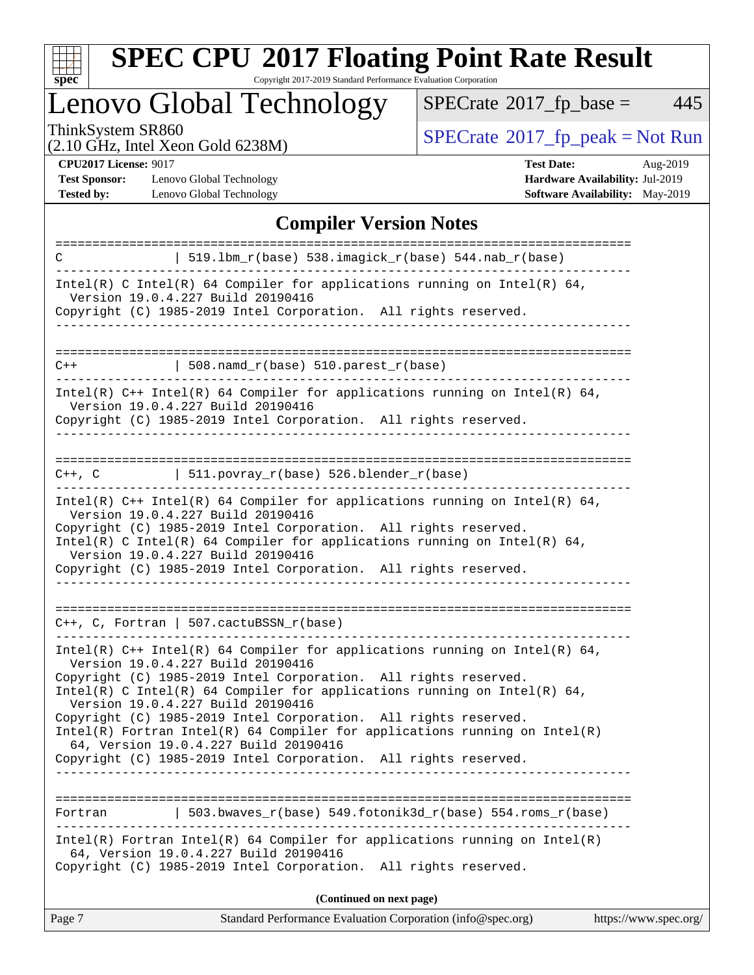

Copyright 2017-2019 Standard Performance Evaluation Corporation

# Lenovo Global Technology

 $SPECTate@2017_fp\_base = 445$ 

(2.10 GHz, Intel Xeon Gold 6238M)

ThinkSystem SR860<br>  $(2.10 \text{ GHz})$  Intel Yeon Gold 6238M)

**[CPU2017 License:](http://www.spec.org/auto/cpu2017/Docs/result-fields.html#CPU2017License)** 9017

[Test Sponsor:](http://www.spec.org/auto/cpu2017/Docs/result-fields.html#TestSponsor) Lenovo Global Technology **[Tested by:](http://www.spec.org/auto/cpu2017/Docs/result-fields.html#Testedby)** Lenovo Global Technology **[Software Availability:](http://www.spec.org/auto/cpu2017/Docs/result-fields.html#SoftwareAvailability)** May-2019

| <b>Test Date:</b>                      | Aug-2019 |
|----------------------------------------|----------|
| <b>Hardware Availability: Jul-2019</b> |          |
| Seftware Aveilability: Mey 2010        |          |

### **[Compiler Version Notes](http://www.spec.org/auto/cpu2017/Docs/result-fields.html#CompilerVersionNotes)**

| 519.1bm_r(base) 538.imagick_r(base) 544.nab_r(base)<br>C                                                                                                                                                                                                                                                                                                                                                                                                                                                                                                             |  |  |  |  |
|----------------------------------------------------------------------------------------------------------------------------------------------------------------------------------------------------------------------------------------------------------------------------------------------------------------------------------------------------------------------------------------------------------------------------------------------------------------------------------------------------------------------------------------------------------------------|--|--|--|--|
| Intel(R) C Intel(R) 64 Compiler for applications running on Intel(R) 64,<br>Version 19.0.4.227 Build 20190416<br>Copyright (C) 1985-2019 Intel Corporation. All rights reserved.                                                                                                                                                                                                                                                                                                                                                                                     |  |  |  |  |
|                                                                                                                                                                                                                                                                                                                                                                                                                                                                                                                                                                      |  |  |  |  |
|                                                                                                                                                                                                                                                                                                                                                                                                                                                                                                                                                                      |  |  |  |  |
| $\vert$ 508.namd_r(base) 510.parest_r(base)<br>$C++$                                                                                                                                                                                                                                                                                                                                                                                                                                                                                                                 |  |  |  |  |
| Intel(R) $C++$ Intel(R) 64 Compiler for applications running on Intel(R) 64,<br>Version 19.0.4.227 Build 20190416<br>Copyright (C) 1985-2019 Intel Corporation. All rights reserved.                                                                                                                                                                                                                                                                                                                                                                                 |  |  |  |  |
| $  511.povray_r(base) 526.blender_r(base)$<br>$C++$ , $C$                                                                                                                                                                                                                                                                                                                                                                                                                                                                                                            |  |  |  |  |
| Intel(R) $C++$ Intel(R) 64 Compiler for applications running on Intel(R) 64,<br>Version 19.0.4.227 Build 20190416<br>Copyright (C) 1985-2019 Intel Corporation. All rights reserved.<br>Intel(R) C Intel(R) 64 Compiler for applications running on Intel(R) 64,<br>Version 19.0.4.227 Build 20190416<br>Copyright (C) 1985-2019 Intel Corporation. All rights reserved.                                                                                                                                                                                             |  |  |  |  |
| $C++$ , C, Fortran   507.cactuBSSN_r(base)                                                                                                                                                                                                                                                                                                                                                                                                                                                                                                                           |  |  |  |  |
| Intel(R) $C++$ Intel(R) 64 Compiler for applications running on Intel(R) 64,<br>Version 19.0.4.227 Build 20190416<br>Copyright (C) 1985-2019 Intel Corporation. All rights reserved.<br>Intel(R) C Intel(R) 64 Compiler for applications running on Intel(R) 64,<br>Version 19.0.4.227 Build 20190416<br>Copyright (C) 1985-2019 Intel Corporation. All rights reserved.<br>$Intel(R)$ Fortran Intel(R) 64 Compiler for applications running on Intel(R)<br>64, Version 19.0.4.227 Build 20190416<br>Copyright (C) 1985-2019 Intel Corporation. All rights reserved. |  |  |  |  |
| 503.bwaves_r(base) 549.fotonik3d_r(base) 554.roms_r(base)<br>Fortran                                                                                                                                                                                                                                                                                                                                                                                                                                                                                                 |  |  |  |  |
| $Intel(R)$ Fortran Intel(R) 64 Compiler for applications running on Intel(R)<br>64, Version 19.0.4.227 Build 20190416<br>Copyright (C) 1985-2019 Intel Corporation. All rights reserved.                                                                                                                                                                                                                                                                                                                                                                             |  |  |  |  |
| (Continued on next page)                                                                                                                                                                                                                                                                                                                                                                                                                                                                                                                                             |  |  |  |  |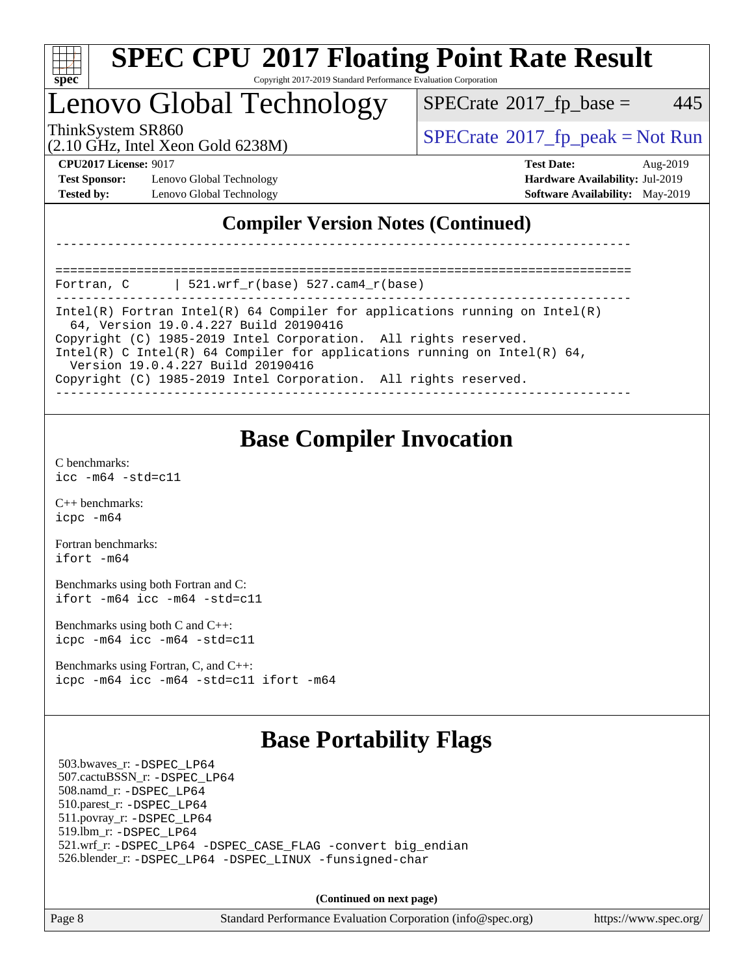

#### **[SPEC CPU](http://www.spec.org/auto/cpu2017/Docs/result-fields.html#SPECCPU2017FloatingPointRateResult)[2017 Floating Point Rate Result](http://www.spec.org/auto/cpu2017/Docs/result-fields.html#SPECCPU2017FloatingPointRateResult)** Copyright 2017-2019 Standard Performance Evaluation Corporation

## Lenovo Global Technology

 $SPECTate$ <sup>®</sup>[2017\\_fp\\_base =](http://www.spec.org/auto/cpu2017/Docs/result-fields.html#SPECrate2017fpbase) 445

(2.10 GHz, Intel Xeon Gold 6238M)

ThinkSystem SR860<br>  $SPECrate^{\circ}2017$  $SPECrate^{\circ}2017$  fp\_peak = Not Run

**[Test Sponsor:](http://www.spec.org/auto/cpu2017/Docs/result-fields.html#TestSponsor)** Lenovo Global Technology **[Hardware Availability:](http://www.spec.org/auto/cpu2017/Docs/result-fields.html#HardwareAvailability)** Jul-2019 **[Tested by:](http://www.spec.org/auto/cpu2017/Docs/result-fields.html#Testedby)** Lenovo Global Technology **[Software Availability:](http://www.spec.org/auto/cpu2017/Docs/result-fields.html#SoftwareAvailability)** May-2019

**[CPU2017 License:](http://www.spec.org/auto/cpu2017/Docs/result-fields.html#CPU2017License)** 9017 **[Test Date:](http://www.spec.org/auto/cpu2017/Docs/result-fields.html#TestDate)** Aug-2019

### **[Compiler Version Notes \(Continued\)](http://www.spec.org/auto/cpu2017/Docs/result-fields.html#CompilerVersionNotes)**

============================================================================== Fortran, C | 521.wrf\_r(base) 527.cam4\_r(base)

------------------------------------------------------------------------------ Intel(R) Fortran Intel(R) 64 Compiler for applications running on Intel(R) 64, Version 19.0.4.227 Build 20190416

------------------------------------------------------------------------------

Copyright (C) 1985-2019 Intel Corporation. All rights reserved.

Intel(R) C Intel(R) 64 Compiler for applications running on Intel(R) 64,

Version 19.0.4.227 Build 20190416

Copyright (C) 1985-2019 Intel Corporation. All rights reserved. ------------------------------------------------------------------------------

### **[Base Compiler Invocation](http://www.spec.org/auto/cpu2017/Docs/result-fields.html#BaseCompilerInvocation)**

[C benchmarks](http://www.spec.org/auto/cpu2017/Docs/result-fields.html#Cbenchmarks): [icc -m64 -std=c11](http://www.spec.org/cpu2017/results/res2019q3/cpu2017-20190902-17478.flags.html#user_CCbase_intel_icc_64bit_c11_33ee0cdaae7deeeab2a9725423ba97205ce30f63b9926c2519791662299b76a0318f32ddfffdc46587804de3178b4f9328c46fa7c2b0cd779d7a61945c91cd35)

[C++ benchmarks:](http://www.spec.org/auto/cpu2017/Docs/result-fields.html#CXXbenchmarks) [icpc -m64](http://www.spec.org/cpu2017/results/res2019q3/cpu2017-20190902-17478.flags.html#user_CXXbase_intel_icpc_64bit_4ecb2543ae3f1412ef961e0650ca070fec7b7afdcd6ed48761b84423119d1bf6bdf5cad15b44d48e7256388bc77273b966e5eb805aefd121eb22e9299b2ec9d9)

[Fortran benchmarks](http://www.spec.org/auto/cpu2017/Docs/result-fields.html#Fortranbenchmarks): [ifort -m64](http://www.spec.org/cpu2017/results/res2019q3/cpu2017-20190902-17478.flags.html#user_FCbase_intel_ifort_64bit_24f2bb282fbaeffd6157abe4f878425411749daecae9a33200eee2bee2fe76f3b89351d69a8130dd5949958ce389cf37ff59a95e7a40d588e8d3a57e0c3fd751)

[Benchmarks using both Fortran and C](http://www.spec.org/auto/cpu2017/Docs/result-fields.html#BenchmarksusingbothFortranandC): [ifort -m64](http://www.spec.org/cpu2017/results/res2019q3/cpu2017-20190902-17478.flags.html#user_CC_FCbase_intel_ifort_64bit_24f2bb282fbaeffd6157abe4f878425411749daecae9a33200eee2bee2fe76f3b89351d69a8130dd5949958ce389cf37ff59a95e7a40d588e8d3a57e0c3fd751) [icc -m64 -std=c11](http://www.spec.org/cpu2017/results/res2019q3/cpu2017-20190902-17478.flags.html#user_CC_FCbase_intel_icc_64bit_c11_33ee0cdaae7deeeab2a9725423ba97205ce30f63b9926c2519791662299b76a0318f32ddfffdc46587804de3178b4f9328c46fa7c2b0cd779d7a61945c91cd35)

[Benchmarks using both C and C++](http://www.spec.org/auto/cpu2017/Docs/result-fields.html#BenchmarksusingbothCandCXX): [icpc -m64](http://www.spec.org/cpu2017/results/res2019q3/cpu2017-20190902-17478.flags.html#user_CC_CXXbase_intel_icpc_64bit_4ecb2543ae3f1412ef961e0650ca070fec7b7afdcd6ed48761b84423119d1bf6bdf5cad15b44d48e7256388bc77273b966e5eb805aefd121eb22e9299b2ec9d9) [icc -m64 -std=c11](http://www.spec.org/cpu2017/results/res2019q3/cpu2017-20190902-17478.flags.html#user_CC_CXXbase_intel_icc_64bit_c11_33ee0cdaae7deeeab2a9725423ba97205ce30f63b9926c2519791662299b76a0318f32ddfffdc46587804de3178b4f9328c46fa7c2b0cd779d7a61945c91cd35)

[Benchmarks using Fortran, C, and C++:](http://www.spec.org/auto/cpu2017/Docs/result-fields.html#BenchmarksusingFortranCandCXX) [icpc -m64](http://www.spec.org/cpu2017/results/res2019q3/cpu2017-20190902-17478.flags.html#user_CC_CXX_FCbase_intel_icpc_64bit_4ecb2543ae3f1412ef961e0650ca070fec7b7afdcd6ed48761b84423119d1bf6bdf5cad15b44d48e7256388bc77273b966e5eb805aefd121eb22e9299b2ec9d9) [icc -m64 -std=c11](http://www.spec.org/cpu2017/results/res2019q3/cpu2017-20190902-17478.flags.html#user_CC_CXX_FCbase_intel_icc_64bit_c11_33ee0cdaae7deeeab2a9725423ba97205ce30f63b9926c2519791662299b76a0318f32ddfffdc46587804de3178b4f9328c46fa7c2b0cd779d7a61945c91cd35) [ifort -m64](http://www.spec.org/cpu2017/results/res2019q3/cpu2017-20190902-17478.flags.html#user_CC_CXX_FCbase_intel_ifort_64bit_24f2bb282fbaeffd6157abe4f878425411749daecae9a33200eee2bee2fe76f3b89351d69a8130dd5949958ce389cf37ff59a95e7a40d588e8d3a57e0c3fd751)

### **[Base Portability Flags](http://www.spec.org/auto/cpu2017/Docs/result-fields.html#BasePortabilityFlags)**

 503.bwaves\_r: [-DSPEC\\_LP64](http://www.spec.org/cpu2017/results/res2019q3/cpu2017-20190902-17478.flags.html#suite_basePORTABILITY503_bwaves_r_DSPEC_LP64) 507.cactuBSSN\_r: [-DSPEC\\_LP64](http://www.spec.org/cpu2017/results/res2019q3/cpu2017-20190902-17478.flags.html#suite_basePORTABILITY507_cactuBSSN_r_DSPEC_LP64) 508.namd\_r: [-DSPEC\\_LP64](http://www.spec.org/cpu2017/results/res2019q3/cpu2017-20190902-17478.flags.html#suite_basePORTABILITY508_namd_r_DSPEC_LP64) 510.parest\_r: [-DSPEC\\_LP64](http://www.spec.org/cpu2017/results/res2019q3/cpu2017-20190902-17478.flags.html#suite_basePORTABILITY510_parest_r_DSPEC_LP64) 511.povray\_r: [-DSPEC\\_LP64](http://www.spec.org/cpu2017/results/res2019q3/cpu2017-20190902-17478.flags.html#suite_basePORTABILITY511_povray_r_DSPEC_LP64) 519.lbm\_r: [-DSPEC\\_LP64](http://www.spec.org/cpu2017/results/res2019q3/cpu2017-20190902-17478.flags.html#suite_basePORTABILITY519_lbm_r_DSPEC_LP64) 521.wrf\_r: [-DSPEC\\_LP64](http://www.spec.org/cpu2017/results/res2019q3/cpu2017-20190902-17478.flags.html#suite_basePORTABILITY521_wrf_r_DSPEC_LP64) [-DSPEC\\_CASE\\_FLAG](http://www.spec.org/cpu2017/results/res2019q3/cpu2017-20190902-17478.flags.html#b521.wrf_r_baseCPORTABILITY_DSPEC_CASE_FLAG) [-convert big\\_endian](http://www.spec.org/cpu2017/results/res2019q3/cpu2017-20190902-17478.flags.html#user_baseFPORTABILITY521_wrf_r_convert_big_endian_c3194028bc08c63ac5d04de18c48ce6d347e4e562e8892b8bdbdc0214820426deb8554edfa529a3fb25a586e65a3d812c835984020483e7e73212c4d31a38223) 526.blender\_r: [-DSPEC\\_LP64](http://www.spec.org/cpu2017/results/res2019q3/cpu2017-20190902-17478.flags.html#suite_basePORTABILITY526_blender_r_DSPEC_LP64) [-DSPEC\\_LINUX](http://www.spec.org/cpu2017/results/res2019q3/cpu2017-20190902-17478.flags.html#b526.blender_r_baseCPORTABILITY_DSPEC_LINUX) [-funsigned-char](http://www.spec.org/cpu2017/results/res2019q3/cpu2017-20190902-17478.flags.html#user_baseCPORTABILITY526_blender_r_force_uchar_40c60f00ab013830e2dd6774aeded3ff59883ba5a1fc5fc14077f794d777847726e2a5858cbc7672e36e1b067e7e5c1d9a74f7176df07886a243d7cc18edfe67)

**(Continued on next page)**

Page 8 Standard Performance Evaluation Corporation [\(info@spec.org\)](mailto:info@spec.org) <https://www.spec.org/>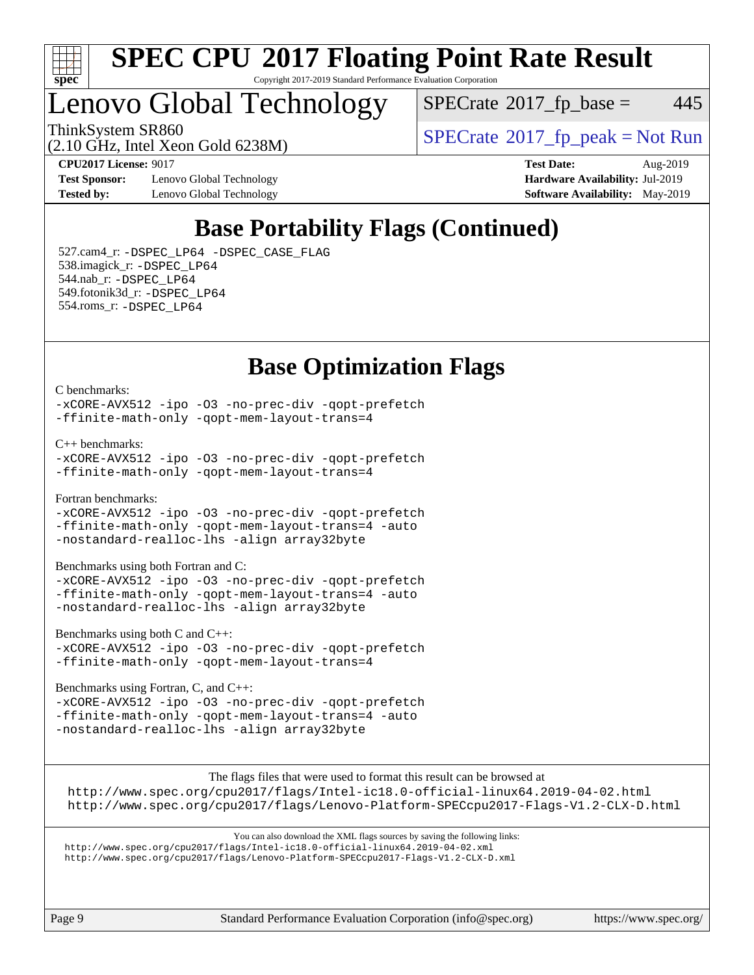

#### **[SPEC CPU](http://www.spec.org/auto/cpu2017/Docs/result-fields.html#SPECCPU2017FloatingPointRateResult)[2017 Floating Point Rate Result](http://www.spec.org/auto/cpu2017/Docs/result-fields.html#SPECCPU2017FloatingPointRateResult)** Copyright 2017-2019 Standard Performance Evaluation Corporation

## Lenovo Global Technology

 $SPECTate$ <sup>®</sup>[2017\\_fp\\_base =](http://www.spec.org/auto/cpu2017/Docs/result-fields.html#SPECrate2017fpbase) 445

ThinkSystem SR860<br>  $SPECTR_{10}$  [SPECrate](http://www.spec.org/auto/cpu2017/Docs/result-fields.html#SPECrate2017fppeak)®[2017\\_fp\\_peak = N](http://www.spec.org/auto/cpu2017/Docs/result-fields.html#SPECrate2017fppeak)ot Run

(2.10 GHz, Intel Xeon Gold 6238M)

**[Test Sponsor:](http://www.spec.org/auto/cpu2017/Docs/result-fields.html#TestSponsor)** Lenovo Global Technology **[Hardware Availability:](http://www.spec.org/auto/cpu2017/Docs/result-fields.html#HardwareAvailability)** Jul-2019 **[Tested by:](http://www.spec.org/auto/cpu2017/Docs/result-fields.html#Testedby)** Lenovo Global Technology **[Software Availability:](http://www.spec.org/auto/cpu2017/Docs/result-fields.html#SoftwareAvailability)** May-2019

**[CPU2017 License:](http://www.spec.org/auto/cpu2017/Docs/result-fields.html#CPU2017License)** 9017 **[Test Date:](http://www.spec.org/auto/cpu2017/Docs/result-fields.html#TestDate)** Aug-2019

### **[Base Portability Flags \(Continued\)](http://www.spec.org/auto/cpu2017/Docs/result-fields.html#BasePortabilityFlags)**

 527.cam4\_r: [-DSPEC\\_LP64](http://www.spec.org/cpu2017/results/res2019q3/cpu2017-20190902-17478.flags.html#suite_basePORTABILITY527_cam4_r_DSPEC_LP64) [-DSPEC\\_CASE\\_FLAG](http://www.spec.org/cpu2017/results/res2019q3/cpu2017-20190902-17478.flags.html#b527.cam4_r_baseCPORTABILITY_DSPEC_CASE_FLAG) 538.imagick\_r: [-DSPEC\\_LP64](http://www.spec.org/cpu2017/results/res2019q3/cpu2017-20190902-17478.flags.html#suite_basePORTABILITY538_imagick_r_DSPEC_LP64) 544.nab\_r: [-DSPEC\\_LP64](http://www.spec.org/cpu2017/results/res2019q3/cpu2017-20190902-17478.flags.html#suite_basePORTABILITY544_nab_r_DSPEC_LP64) 549.fotonik3d\_r: [-DSPEC\\_LP64](http://www.spec.org/cpu2017/results/res2019q3/cpu2017-20190902-17478.flags.html#suite_basePORTABILITY549_fotonik3d_r_DSPEC_LP64) 554.roms\_r: [-DSPEC\\_LP64](http://www.spec.org/cpu2017/results/res2019q3/cpu2017-20190902-17478.flags.html#suite_basePORTABILITY554_roms_r_DSPEC_LP64)

### **[Base Optimization Flags](http://www.spec.org/auto/cpu2017/Docs/result-fields.html#BaseOptimizationFlags)**

[C benchmarks](http://www.spec.org/auto/cpu2017/Docs/result-fields.html#Cbenchmarks):

[-xCORE-AVX512](http://www.spec.org/cpu2017/results/res2019q3/cpu2017-20190902-17478.flags.html#user_CCbase_f-xCORE-AVX512) [-ipo](http://www.spec.org/cpu2017/results/res2019q3/cpu2017-20190902-17478.flags.html#user_CCbase_f-ipo) [-O3](http://www.spec.org/cpu2017/results/res2019q3/cpu2017-20190902-17478.flags.html#user_CCbase_f-O3) [-no-prec-div](http://www.spec.org/cpu2017/results/res2019q3/cpu2017-20190902-17478.flags.html#user_CCbase_f-no-prec-div) [-qopt-prefetch](http://www.spec.org/cpu2017/results/res2019q3/cpu2017-20190902-17478.flags.html#user_CCbase_f-qopt-prefetch) [-ffinite-math-only](http://www.spec.org/cpu2017/results/res2019q3/cpu2017-20190902-17478.flags.html#user_CCbase_f_finite_math_only_cb91587bd2077682c4b38af759c288ed7c732db004271a9512da14a4f8007909a5f1427ecbf1a0fb78ff2a814402c6114ac565ca162485bbcae155b5e4258871) [-qopt-mem-layout-trans=4](http://www.spec.org/cpu2017/results/res2019q3/cpu2017-20190902-17478.flags.html#user_CCbase_f-qopt-mem-layout-trans_fa39e755916c150a61361b7846f310bcdf6f04e385ef281cadf3647acec3f0ae266d1a1d22d972a7087a248fd4e6ca390a3634700869573d231a252c784941a8)

[C++ benchmarks:](http://www.spec.org/auto/cpu2017/Docs/result-fields.html#CXXbenchmarks)

```
-xCORE-AVX512 -ipo -O3 -no-prec-div -qopt-prefetch
-ffinite-math-only -qopt-mem-layout-trans=4
```
[Fortran benchmarks](http://www.spec.org/auto/cpu2017/Docs/result-fields.html#Fortranbenchmarks):

[-xCORE-AVX512](http://www.spec.org/cpu2017/results/res2019q3/cpu2017-20190902-17478.flags.html#user_FCbase_f-xCORE-AVX512) [-ipo](http://www.spec.org/cpu2017/results/res2019q3/cpu2017-20190902-17478.flags.html#user_FCbase_f-ipo) [-O3](http://www.spec.org/cpu2017/results/res2019q3/cpu2017-20190902-17478.flags.html#user_FCbase_f-O3) [-no-prec-div](http://www.spec.org/cpu2017/results/res2019q3/cpu2017-20190902-17478.flags.html#user_FCbase_f-no-prec-div) [-qopt-prefetch](http://www.spec.org/cpu2017/results/res2019q3/cpu2017-20190902-17478.flags.html#user_FCbase_f-qopt-prefetch) [-ffinite-math-only](http://www.spec.org/cpu2017/results/res2019q3/cpu2017-20190902-17478.flags.html#user_FCbase_f_finite_math_only_cb91587bd2077682c4b38af759c288ed7c732db004271a9512da14a4f8007909a5f1427ecbf1a0fb78ff2a814402c6114ac565ca162485bbcae155b5e4258871) [-qopt-mem-layout-trans=4](http://www.spec.org/cpu2017/results/res2019q3/cpu2017-20190902-17478.flags.html#user_FCbase_f-qopt-mem-layout-trans_fa39e755916c150a61361b7846f310bcdf6f04e385ef281cadf3647acec3f0ae266d1a1d22d972a7087a248fd4e6ca390a3634700869573d231a252c784941a8) [-auto](http://www.spec.org/cpu2017/results/res2019q3/cpu2017-20190902-17478.flags.html#user_FCbase_f-auto) [-nostandard-realloc-lhs](http://www.spec.org/cpu2017/results/res2019q3/cpu2017-20190902-17478.flags.html#user_FCbase_f_2003_std_realloc_82b4557e90729c0f113870c07e44d33d6f5a304b4f63d4c15d2d0f1fab99f5daaed73bdb9275d9ae411527f28b936061aa8b9c8f2d63842963b95c9dd6426b8a) [-align array32byte](http://www.spec.org/cpu2017/results/res2019q3/cpu2017-20190902-17478.flags.html#user_FCbase_align_array32byte_b982fe038af199962ba9a80c053b8342c548c85b40b8e86eb3cc33dee0d7986a4af373ac2d51c3f7cf710a18d62fdce2948f201cd044323541f22fc0fffc51b6)

[Benchmarks using both Fortran and C](http://www.spec.org/auto/cpu2017/Docs/result-fields.html#BenchmarksusingbothFortranandC):

[-xCORE-AVX512](http://www.spec.org/cpu2017/results/res2019q3/cpu2017-20190902-17478.flags.html#user_CC_FCbase_f-xCORE-AVX512) [-ipo](http://www.spec.org/cpu2017/results/res2019q3/cpu2017-20190902-17478.flags.html#user_CC_FCbase_f-ipo) [-O3](http://www.spec.org/cpu2017/results/res2019q3/cpu2017-20190902-17478.flags.html#user_CC_FCbase_f-O3) [-no-prec-div](http://www.spec.org/cpu2017/results/res2019q3/cpu2017-20190902-17478.flags.html#user_CC_FCbase_f-no-prec-div) [-qopt-prefetch](http://www.spec.org/cpu2017/results/res2019q3/cpu2017-20190902-17478.flags.html#user_CC_FCbase_f-qopt-prefetch) [-ffinite-math-only](http://www.spec.org/cpu2017/results/res2019q3/cpu2017-20190902-17478.flags.html#user_CC_FCbase_f_finite_math_only_cb91587bd2077682c4b38af759c288ed7c732db004271a9512da14a4f8007909a5f1427ecbf1a0fb78ff2a814402c6114ac565ca162485bbcae155b5e4258871) [-qopt-mem-layout-trans=4](http://www.spec.org/cpu2017/results/res2019q3/cpu2017-20190902-17478.flags.html#user_CC_FCbase_f-qopt-mem-layout-trans_fa39e755916c150a61361b7846f310bcdf6f04e385ef281cadf3647acec3f0ae266d1a1d22d972a7087a248fd4e6ca390a3634700869573d231a252c784941a8) [-auto](http://www.spec.org/cpu2017/results/res2019q3/cpu2017-20190902-17478.flags.html#user_CC_FCbase_f-auto) [-nostandard-realloc-lhs](http://www.spec.org/cpu2017/results/res2019q3/cpu2017-20190902-17478.flags.html#user_CC_FCbase_f_2003_std_realloc_82b4557e90729c0f113870c07e44d33d6f5a304b4f63d4c15d2d0f1fab99f5daaed73bdb9275d9ae411527f28b936061aa8b9c8f2d63842963b95c9dd6426b8a) [-align array32byte](http://www.spec.org/cpu2017/results/res2019q3/cpu2017-20190902-17478.flags.html#user_CC_FCbase_align_array32byte_b982fe038af199962ba9a80c053b8342c548c85b40b8e86eb3cc33dee0d7986a4af373ac2d51c3f7cf710a18d62fdce2948f201cd044323541f22fc0fffc51b6)

[Benchmarks using both C and C++](http://www.spec.org/auto/cpu2017/Docs/result-fields.html#BenchmarksusingbothCandCXX):

[-xCORE-AVX512](http://www.spec.org/cpu2017/results/res2019q3/cpu2017-20190902-17478.flags.html#user_CC_CXXbase_f-xCORE-AVX512) [-ipo](http://www.spec.org/cpu2017/results/res2019q3/cpu2017-20190902-17478.flags.html#user_CC_CXXbase_f-ipo) [-O3](http://www.spec.org/cpu2017/results/res2019q3/cpu2017-20190902-17478.flags.html#user_CC_CXXbase_f-O3) [-no-prec-div](http://www.spec.org/cpu2017/results/res2019q3/cpu2017-20190902-17478.flags.html#user_CC_CXXbase_f-no-prec-div) [-qopt-prefetch](http://www.spec.org/cpu2017/results/res2019q3/cpu2017-20190902-17478.flags.html#user_CC_CXXbase_f-qopt-prefetch) [-ffinite-math-only](http://www.spec.org/cpu2017/results/res2019q3/cpu2017-20190902-17478.flags.html#user_CC_CXXbase_f_finite_math_only_cb91587bd2077682c4b38af759c288ed7c732db004271a9512da14a4f8007909a5f1427ecbf1a0fb78ff2a814402c6114ac565ca162485bbcae155b5e4258871) [-qopt-mem-layout-trans=4](http://www.spec.org/cpu2017/results/res2019q3/cpu2017-20190902-17478.flags.html#user_CC_CXXbase_f-qopt-mem-layout-trans_fa39e755916c150a61361b7846f310bcdf6f04e385ef281cadf3647acec3f0ae266d1a1d22d972a7087a248fd4e6ca390a3634700869573d231a252c784941a8)

[Benchmarks using Fortran, C, and C++:](http://www.spec.org/auto/cpu2017/Docs/result-fields.html#BenchmarksusingFortranCandCXX)

[-xCORE-AVX512](http://www.spec.org/cpu2017/results/res2019q3/cpu2017-20190902-17478.flags.html#user_CC_CXX_FCbase_f-xCORE-AVX512) [-ipo](http://www.spec.org/cpu2017/results/res2019q3/cpu2017-20190902-17478.flags.html#user_CC_CXX_FCbase_f-ipo) [-O3](http://www.spec.org/cpu2017/results/res2019q3/cpu2017-20190902-17478.flags.html#user_CC_CXX_FCbase_f-O3) [-no-prec-div](http://www.spec.org/cpu2017/results/res2019q3/cpu2017-20190902-17478.flags.html#user_CC_CXX_FCbase_f-no-prec-div) [-qopt-prefetch](http://www.spec.org/cpu2017/results/res2019q3/cpu2017-20190902-17478.flags.html#user_CC_CXX_FCbase_f-qopt-prefetch) [-ffinite-math-only](http://www.spec.org/cpu2017/results/res2019q3/cpu2017-20190902-17478.flags.html#user_CC_CXX_FCbase_f_finite_math_only_cb91587bd2077682c4b38af759c288ed7c732db004271a9512da14a4f8007909a5f1427ecbf1a0fb78ff2a814402c6114ac565ca162485bbcae155b5e4258871) [-qopt-mem-layout-trans=4](http://www.spec.org/cpu2017/results/res2019q3/cpu2017-20190902-17478.flags.html#user_CC_CXX_FCbase_f-qopt-mem-layout-trans_fa39e755916c150a61361b7846f310bcdf6f04e385ef281cadf3647acec3f0ae266d1a1d22d972a7087a248fd4e6ca390a3634700869573d231a252c784941a8) [-auto](http://www.spec.org/cpu2017/results/res2019q3/cpu2017-20190902-17478.flags.html#user_CC_CXX_FCbase_f-auto) [-nostandard-realloc-lhs](http://www.spec.org/cpu2017/results/res2019q3/cpu2017-20190902-17478.flags.html#user_CC_CXX_FCbase_f_2003_std_realloc_82b4557e90729c0f113870c07e44d33d6f5a304b4f63d4c15d2d0f1fab99f5daaed73bdb9275d9ae411527f28b936061aa8b9c8f2d63842963b95c9dd6426b8a) [-align array32byte](http://www.spec.org/cpu2017/results/res2019q3/cpu2017-20190902-17478.flags.html#user_CC_CXX_FCbase_align_array32byte_b982fe038af199962ba9a80c053b8342c548c85b40b8e86eb3cc33dee0d7986a4af373ac2d51c3f7cf710a18d62fdce2948f201cd044323541f22fc0fffc51b6)

[The flags files that were used to format this result can be browsed at](tmsearch)

<http://www.spec.org/cpu2017/flags/Intel-ic18.0-official-linux64.2019-04-02.html> <http://www.spec.org/cpu2017/flags/Lenovo-Platform-SPECcpu2017-Flags-V1.2-CLX-D.html>

[You can also download the XML flags sources by saving the following links:](tmsearch) <http://www.spec.org/cpu2017/flags/Intel-ic18.0-official-linux64.2019-04-02.xml> <http://www.spec.org/cpu2017/flags/Lenovo-Platform-SPECcpu2017-Flags-V1.2-CLX-D.xml>